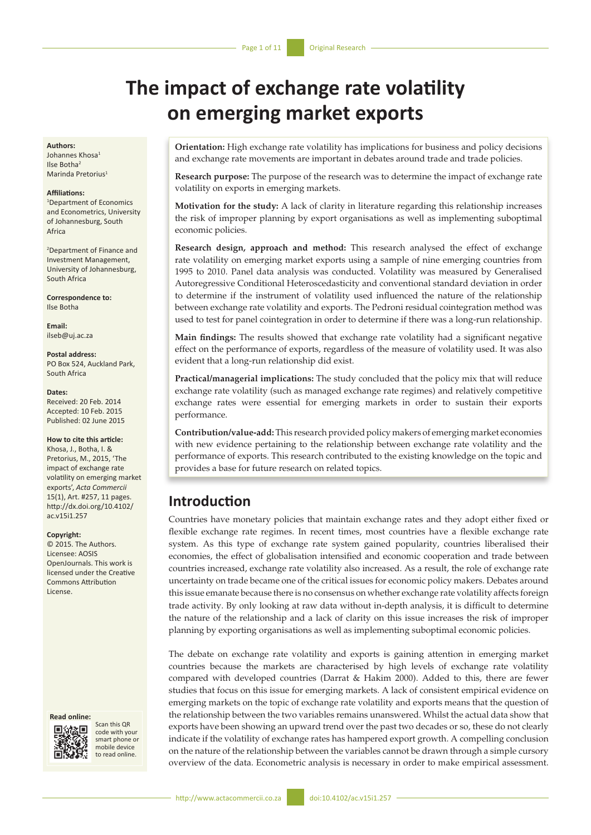# **The impact of exchange rate volatility on emerging market exports**

### **Authors:**

Johannes Khosa1 Ilse Botha2 Marinda Pretorius<sup>1</sup>

### **Affiliations:**

1 Department of Economics and Econometrics, University of Johannesburg, South Africa

2 Department of Finance and Investment Management, University of Johannesburg, South Africa

**Correspondence to:** Ilse Botha

**Email:** [ilseb@uj.ac.za](mailto:ilseb@uj.ac.za)

**Postal address:** PO Box 524, Auckland Park, South Africa

#### **Dates:**

Received: 20 Feb. 2014 Accepted: 10 Feb. 2015 Published: 02 June 2015

### **How to cite this article:**

Khosa, J., Botha, I. & Pretorius, M., 2015, 'The impact of exchange rate volatility on emerging market exports', *Acta Commercii* 15(1), Art. #257, 11 pages. [http://dx.doi.org/10.4102/](http://dx.doi.org/10.4102/ac.v15i1.257) [ac.v15i1.257](http://dx.doi.org/10.4102/ac.v15i1.257)

#### **Copyright:**

© 2015. The Authors. Licensee: AOSIS OpenJournals. This work is licensed under the Creative Commons Attribution License.

#### **Read online:**



Scan this QR code with your smart phone or mobile device to read online.

**Orientation:** High exchange rate volatility has implications for business and policy decisions and exchange rate movements are important in debates around trade and trade policies.

**Research purpose:** The purpose of the research was to determine the impact of exchange rate volatility on exports in emerging markets.

**Motivation for the study:** A lack of clarity in literature regarding this relationship increases the risk of improper planning by export organisations as well as implementing suboptimal economic policies.

**Research design, approach and method:** This research analysed the effect of exchange rate volatility on emerging market exports using a sample of nine emerging countries from 1995 to 2010. Panel data analysis was conducted. Volatility was measured by Generalised Autoregressive Conditional Heteroscedasticity and conventional standard deviation in order to determine if the instrument of volatility used influenced the nature of the relationship between exchange rate volatility and exports. The Pedroni residual cointegration method was used to test for panel cointegration in order to determine if there was a long-run relationship.

**Main findings:** The results showed that exchange rate volatility had a significant negative effect on the performance of exports, regardless of the measure of volatility used. It was also evident that a long-run relationship did exist.

**Practical/managerial implications:** The study concluded that the policy mix that will reduce exchange rate volatility (such as managed exchange rate regimes) and relatively competitive exchange rates were essential for emerging markets in order to sustain their exports performance.

**Contribution/value-add:** This research provided policy makers of emerging market economies with new evidence pertaining to the relationship between exchange rate volatility and the performance of exports. This research contributed to the existing knowledge on the topic and provides a base for future research on related topics.

# **Introduction**

Countries have monetary policies that maintain exchange rates and they adopt either fixed or flexible exchange rate regimes. In recent times, most countries have a flexible exchange rate system. As this type of exchange rate system gained popularity, countries liberalised their economies, the effect of globalisation intensified and economic cooperation and trade between countries increased, exchange rate volatility also increased. As a result, the role of exchange rate uncertainty on trade became one of the critical issues for economic policy makers. Debates around this issue emanate because there is no consensus on whether exchange rate volatility affects foreign trade activity. By only looking at raw data without in-depth analysis, it is difficult to determine the nature of the relationship and a lack of clarity on this issue increases the risk of improper planning by exporting organisations as well as implementing suboptimal economic policies.

The debate on exchange rate volatility and exports is gaining attention in emerging market countries because the markets are characterised by high levels of exchange rate volatility compared with developed countries (Darrat & Hakim 2000). Added to this, there are fewer studies that focus on this issue for emerging markets. A lack of consistent empirical evidence on emerging markets on the topic of exchange rate volatility and exports means that the question of the relationship between the two variables remains unanswered. Whilst the actual data show that exports have been showing an upward trend over the past two decades or so, these do not clearly indicate if the volatility of exchange rates has hampered export growth. A compelling conclusion on the nature of the relationship between the variables cannot be drawn through a simple cursory overview of the data. Econometric analysis is necessary in order to make empirical assessment.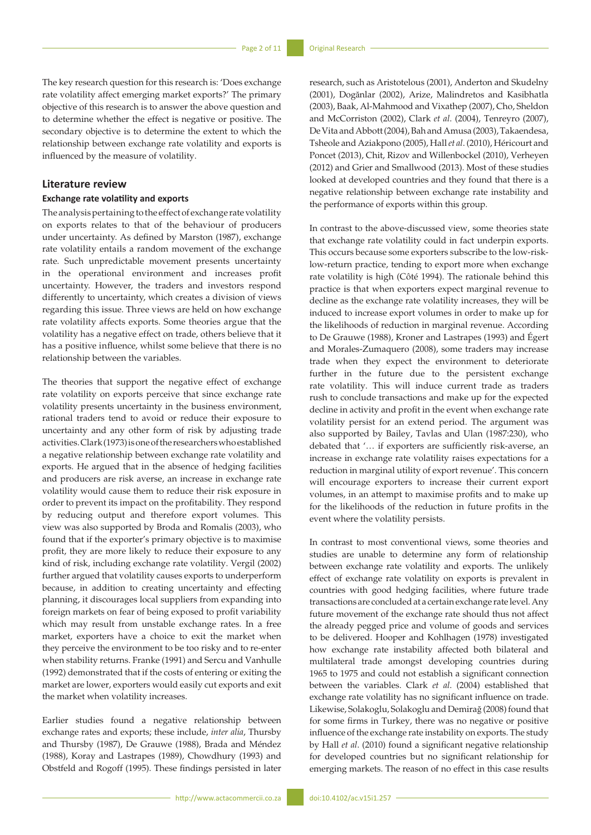The key research question for this research is: 'Does exchange rate volatility affect emerging market exports?' The primary objective of this research is to answer the above question and to determine whether the effect is negative or positive. The secondary objective is to determine the extent to which the relationship between exchange rate volatility and exports is influenced by the measure of volatility.

## **Literature review**

## **Exchange rate volatility and exports**

The analysis pertaining to the effect of exchange rate volatility on exports relates to that of the behaviour of producers under uncertainty. As defined by Marston (1987), exchange rate volatility entails a random movement of the exchange rate. Such unpredictable movement presents uncertainty in the operational environment and increases profit uncertainty. However, the traders and investors respond differently to uncertainty, which creates a division of views regarding this issue. Three views are held on how exchange rate volatility affects exports. Some theories argue that the volatility has a negative effect on trade, others believe that it has a positive influence, whilst some believe that there is no relationship between the variables.

The theories that support the negative effect of exchange rate volatility on exports perceive that since exchange rate volatility presents uncertainty in the business environment, rational traders tend to avoid or reduce their exposure to uncertainty and any other form of risk by adjusting trade activities. Clark (1973) is one of the researchers who established a negative relationship between exchange rate volatility and exports. He argued that in the absence of hedging facilities and producers are risk averse, an increase in exchange rate volatility would cause them to reduce their risk exposure in order to prevent its impact on the profitability. They respond by reducing output and therefore export volumes. This view was also supported by Broda and Romalis (2003), who found that if the exporter's primary objective is to maximise profit, they are more likely to reduce their exposure to any kind of risk, including exchange rate volatility. Vergil (2002) further argued that volatility causes exports to underperform because, in addition to creating uncertainty and effecting planning, it discourages local suppliers from expanding into foreign markets on fear of being exposed to profit variability which may result from unstable exchange rates. In a free market, exporters have a choice to exit the market when they perceive the environment to be too risky and to re-enter when stability returns. Franke (1991) and Sercu and Vanhulle (1992) demonstrated that if the costs of entering or exiting the market are lower, exporters would easily cut exports and exit the market when volatility increases.

Earlier studies found a negative relationship between exchange rates and exports; these include, *inter alia*, Thursby and Thursby (1987), De Grauwe (1988), Brada and Méndez (1988), Koray and Lastrapes (1989), Chowdhury (1993) and Obstfeld and Rogoff (1995). These findings persisted in later research, such as Aristotelous (2001), Anderton and Skudelny (2001), Dogănlar (2002), Arize, Malindretos and Kasibhatla (2003), Baak, Al-Mahmood and Vixathep (2007), Cho, Sheldon and McCorriston (2002), Clark *et al*. (2004), Tenreyro (2007), De Vita and Abbott (2004), Bah and Amusa (2003), Takaendesa, Tsheole and Aziakpono (2005), Hall *et al*. (2010), Héricourt and Poncet (2013), Chit, Rizov and Willenbockel (2010), Verheyen (2012) and Grier and Smallwood (2013). Most of these studies looked at developed countries and they found that there is a negative relationship between exchange rate instability and the performance of exports within this group.

In contrast to the above-discussed view, some theories state that exchange rate volatility could in fact underpin exports. This occurs because some exporters subscribe to the low-risklow-return practice, tending to export more when exchange rate volatility is high (Côté 1994). The rationale behind this practice is that when exporters expect marginal revenue to decline as the exchange rate volatility increases, they will be induced to increase export volumes in order to make up for the likelihoods of reduction in marginal revenue. According to De Grauwe (1988), Kroner and Lastrapes (1993) and Égert and Morales-Zumaquero (2008), some traders may increase trade when they expect the environment to deteriorate further in the future due to the persistent exchange rate volatility. This will induce current trade as traders rush to conclude transactions and make up for the expected decline in activity and profit in the event when exchange rate volatility persist for an extend period. The argument was also supported by Bailey, Tavlas and Ulan (1987:230), who debated that '… if exporters are sufficiently risk-averse, an increase in exchange rate volatility raises expectations for a reduction in marginal utility of export revenue'. This concern will encourage exporters to increase their current export volumes, in an attempt to maximise profits and to make up for the likelihoods of the reduction in future profits in the event where the volatility persists.

In contrast to most conventional views, some theories and studies are unable to determine any form of relationship between exchange rate volatility and exports. The unlikely effect of exchange rate volatility on exports is prevalent in countries with good hedging facilities, where future trade transactions are concluded at a certain exchange rate level. Any future movement of the exchange rate should thus not affect the already pegged price and volume of goods and services to be delivered. Hooper and Kohlhagen (1978) investigated how exchange rate instability affected both bilateral and multilateral trade amongst developing countries during 1965 to 1975 and could not establish a significant connection between the variables. Clark *et al*. (2004) established that exchange rate volatility has no significant influence on trade. Likewise, Solakoglu, Solakoglu and Demirağ (2008) found that for some firms in Turkey, there was no negative or positive influence of the exchange rate instability on exports. The study by Hall *et al*. (2010) found a significant negative relationship for developed countries but no significant relationship for emerging markets. The reason of no effect in this case results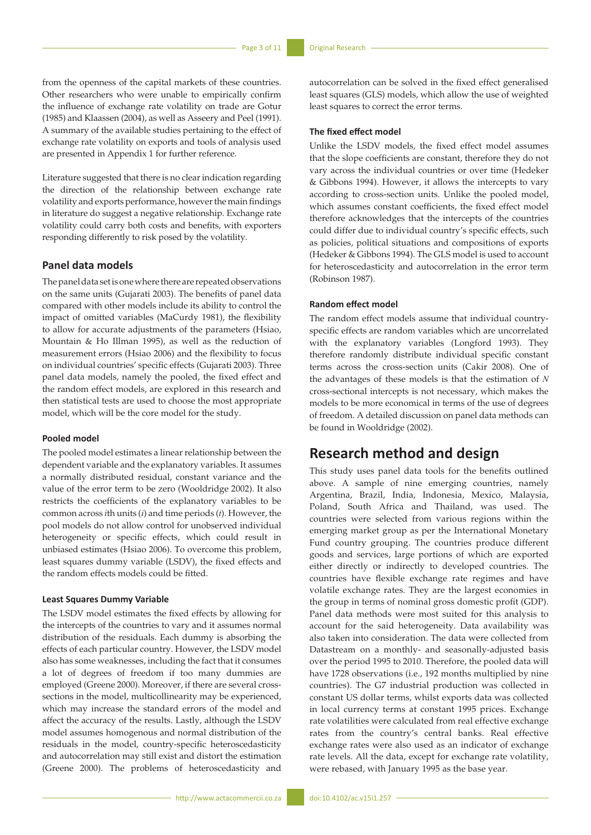from the openness of the capital markets of these countries. Other researchers who were unable to empirically confirm the influence of exchange rate volatility on trade are Gotur (1985) and Klaassen (2004), as well as Asseery and Peel (1991). A summary of the available studies pertaining to the effect of exchange rate volatility on exports and tools of analysis used are presented in Appendix 1 for further reference.

Literature suggested that there is no clear indication regarding the direction of the relationship between exchange rate volatility and exports performance, however the main findings in literature do suggest a negative relationship. Exchange rate volatility could carry both costs and benefits, with exporters responding differently to risk posed by the volatility.

# **Panel data models**

The panel data set is one where there are repeated observations on the same units (Gujarati 2003). The benefits of panel data compared with other models include its ability to control the impact of omitted variables (MaCurdy 1981), the flexibility to allow for accurate adjustments of the parameters (Hsiao, Mountain & Ho Illman 1995), as well as the reduction of measurement errors (Hsiao 2006) and the flexibility to focus on individual countries' specific effects (Gujarati 2003). Three panel data models, namely the pooled, the fixed effect and the random effect models, are explored in this research and then statistical tests are used to choose the most appropriate model, which will be the core model for the study.

## **Pooled model**

The pooled model estimates a linear relationship between the dependent variable and the explanatory variables. It assumes a normally distributed residual, constant variance and the value of the error term to be zero (Wooldridge 2002). It also restricts the coefficients of the explanatory variables to be common across *i*th units (*i*) and time periods (*t*). However, the pool models do not allow control for unobserved individual heterogeneity or specific effects, which could result in unbiased estimates (Hsiao 2006). To overcome this problem, least squares dummy variable (LSDV), the fixed effects and the random effects models could be fitted.

## **Least Squares Dummy Variable**

The LSDV model estimates the fixed effects by allowing for the intercepts of the countries to vary and it assumes normal distribution of the residuals. Each dummy is absorbing the effects of each particular country. However, the LSDV model also has some weaknesses, including the fact that it consumes a lot of degrees of freedom if too many dummies are employed (Greene 2000). Moreover, if there are several crosssections in the model, multicollinearity may be experienced, which may increase the standard errors of the model and affect the accuracy of the results. Lastly, although the LSDV model assumes homogenous and normal distribution of the residuals in the model, country-specific heteroscedasticity and autocorrelation may still exist and distort the estimation (Greene 2000). The problems of heteroscedasticity and

autocorrelation can be solved in the fixed effect generalised least squares (GLS) models, which allow the use of weighted least squares to correct the error terms.

## **The fixed effect model**

Unlike the LSDV models, the fixed effect model assumes that the slope coefficients are constant, therefore they do not vary across the individual countries or over time (Hedeker & Gibbons 1994). However, it allows the intercepts to vary according to cross-section units. Unlike the pooled model, which assumes constant coefficients, the fixed effect model therefore acknowledges that the intercepts of the countries could differ due to individual country's specific effects, such as policies, political situations and compositions of exports (Hedeker & Gibbons 1994). The GLS model is used to account for heteroscedasticity and autocorrelation in the error term (Robinson 1987).

# **Random effect model**

The random effect models assume that individual countryspecific effects are random variables which are uncorrelated with the explanatory variables (Longford 1993). They therefore randomly distribute individual specific constant terms across the cross-section units (Cakir 2008). One of the advantages of these models is that the estimation of *N* cross-sectional intercepts is not necessary, which makes the models to be more economical in terms of the use of degrees of freedom. A detailed discussion on panel data methods can be found in Wooldridge (2002).

# **Research method and design**

This study uses panel data tools for the benefits outlined above. A sample of nine emerging countries, namely Argentina, Brazil, India, Indonesia, Mexico, Malaysia, Poland, South Africa and Thailand, was used. The countries were selected from various regions within the emerging market group as per the International Monetary Fund country grouping. The countries produce different goods and services, large portions of which are exported either directly or indirectly to developed countries. The countries have flexible exchange rate regimes and have volatile exchange rates. They are the largest economies in the group in terms of nominal gross domestic profit (GDP). Panel data methods were most suited for this analysis to account for the said heterogeneity. Data availability was also taken into consideration. The data were collected from Datastream on a monthly- and seasonally-adjusted basis over the period 1995 to 2010. Therefore, the pooled data will have 1728 observations (i.e., 192 months multiplied by nine countries). The G7 industrial production was collected in constant US dollar terms, whilst exports data was collected in local currency terms at constant 1995 prices. Exchange rate volatilities were calculated from real effective exchange rates from the country's central banks. Real effective exchange rates were also used as an indicator of exchange rate levels. All the data, except for exchange rate volatility, were rebased, with January 1995 as the base year.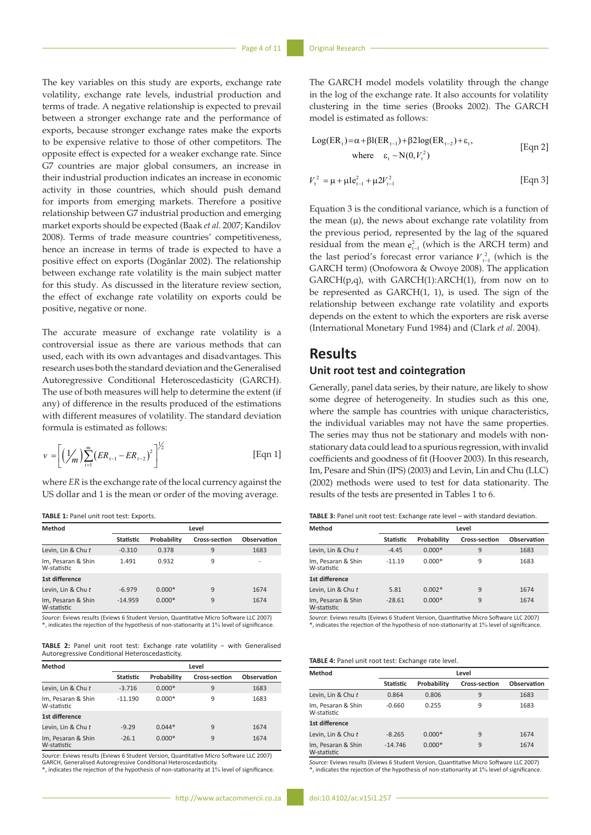The key variables on this study are exports, exchange rate volatility, exchange rate levels, industrial production and terms of trade. A negative relationship is expected to prevail between a stronger exchange rate and the performance of exports, because stronger exchange rates make the exports to be expensive relative to those of other competitors. The opposite effect is expected for a weaker exchange rate. Since G7 countries are major global consumers, an increase in their industrial production indicates an increase in economic activity in those countries, which should push demand for imports from emerging markets. Therefore a positive relationship between G7 industrial production and emerging market exports should be expected (Baak *et al.* 2007; Kandilov 2008). Terms of trade measure countries' competitiveness, hence an increase in terms of trade is expected to have a positive effect on exports (Dogănlar 2002). The relationship between exchange rate volatility is the main subject matter for this study. As discussed in the literature review section, the effect of exchange rate volatility on exports could be positive, negative or none.

The accurate measure of exchange rate volatility is a controversial issue as there are various methods that can used, each with its own advantages and disadvantages. This research uses both the standard deviation and the Generalised Autoregressive Conditional Heteroscedasticity (GARCH). The use of both measures will help to determine the extent (if any) of difference in the results produced of the estimations with different measures of volatility. The standard deviation formula is estimated as follows:

$$
v = \left[ \left( \frac{1}{m} \right) \sum_{i=1}^{m} \left( ER_{t-1} - ER_{t-2} \right)^2 \right]^{1/2}
$$
 [Eqn 1]

where *ER* is the exchange rate of the local currency against the US dollar and 1 is the mean or order of the moving average.

**TABLE 1:** Panel unit root test: Exports.

| Method                            |           | Level       |                      |             |  |  |  |
|-----------------------------------|-----------|-------------|----------------------|-------------|--|--|--|
|                                   | Statistic | Probability | <b>Cross-section</b> | Observation |  |  |  |
| Levin, Lin & Chu t                | $-0.310$  | 0.378       | 9                    | 1683        |  |  |  |
| Im, Pesaran & Shin<br>W-statistic | 1.491     | 0.932       | 9                    |             |  |  |  |
| 1st difference                    |           |             |                      |             |  |  |  |
| Levin, Lin & Chu t                | $-6.979$  | $0.000*$    | 9                    | 1674        |  |  |  |
| Im, Pesaran & Shin<br>W-statistic | $-14.959$ | $0.000*$    | 9                    | 1674        |  |  |  |

*Source*: Eviews results (Eviews 6 Student Version, Quantitative Micro Software LLC 2007) \*, indicates the rejection of the hypothesis of non-stationarity at 1% level of significance.

TABLE 2: Panel unit root test: Exchange rate volatility − with Generalised Autoregressive Conditional Heteroscedasticity.

| Method                            | Level     |             |                      |             |  |  |
|-----------------------------------|-----------|-------------|----------------------|-------------|--|--|
|                                   | Statistic | Probability | <b>Cross-section</b> | Observation |  |  |
| Levin, Lin & Chu t                | $-3.716$  | $0.000*$    | 9                    | 1683        |  |  |
| Im, Pesaran & Shin<br>W-statistic | $-11.190$ | $0.000*$    | 9                    | 1683        |  |  |
| 1st difference                    |           |             |                      |             |  |  |
| Levin, Lin & Chu t                | $-9.29$   | $0.044*$    | 9                    | 1674        |  |  |
| Im, Pesaran & Shin<br>W-statistic | $-26.1$   | $0.000*$    | 9                    | 1674        |  |  |

*Source*: Eviews results (Eviews 6 Student Version, Quantitative Micro Software LLC 2007)

GARCH, Generalised Autoregressive Conditional Heteroscedasticity. \*, indicates the rejection of the hypothesis of non-stationarity at 1% level of significance.

*Source*: Eviews results (Eviews 6 Student Version, Quantitative Micro Software LLC 2007) \*, indicates the rejection of the hypothesis of non-stationarity at 1% level of significance.

The GARCH model models volatility through the change in the log of the exchange rate. It also accounts for volatility clustering in the time series (Brooks 2002). The GARCH model is estimated as follows:

Log(ER<sub>t</sub>)=
$$
\alpha + \beta I(ER_{t-1}) + \beta 2 \log(ER_{t-2}) + \varepsilon_t
$$
,  
where  $\varepsilon_t \sim N(0, V_t^2)$  [Eqn 2]

$$
V_{t}^{2} = \mu + \mu I e_{t-1}^{2} + \mu 2 V_{t-1}^{2}
$$
 [Eqn 3]

Equation 3 is the conditional variance, which is a function of the mean  $(\mu)$ , the news about exchange rate volatility from the previous period, represented by the lag of the squared residual from the mean  $e_{t-1}^2$  (which is the ARCH term) and the last period's forecast error variance  $V_{t-1}^2$  (which is the GARCH term) (Onofowora & Owoye 2008). The application  $GARCH(p,q)$ , with  $GARCH(1)$ : ARCH(1), from now on to be represented as GARCH(1, 1), is used. The sign of the relationship between exchange rate volatility and exports depends on the extent to which the exporters are risk averse (International Monetary Fund 1984) and (Clark *et al*. 2004).

# **Results**

# **Unit root test and cointegration**

Generally, panel data series, by their nature, are likely to show some degree of heterogeneity. In studies such as this one, where the sample has countries with unique characteristics, the individual variables may not have the same properties. The series may thus not be stationary and models with nonstationary data could lead to a spurious regression, with invalid coefficients and goodness of fit (Hoover 2003). In this research, Im, Pesare and Shin (IPS) (2003) and Levin, Lin and Chu (LLC) (2002) methods were used to test for data stationarity. The results of the tests are presented in Tables 1 to 6.

**TABLE 3:** Panel unit root test: Exchange rate level – with standard deviation.

| Method                            | Level            |             |               |             |  |
|-----------------------------------|------------------|-------------|---------------|-------------|--|
|                                   | <b>Statistic</b> | Probability | Cross-section | Observation |  |
| Levin, Lin & Chu t                | $-4.45$          | $0.000*$    | 9             | 1683        |  |
| Im, Pesaran & Shin<br>W-statistic | $-11.19$         | $0.000*$    | 9             | 1683        |  |
| 1st difference                    |                  |             |               |             |  |
| Levin, Lin & Chu t                | 5.81             | $0.002*$    | 9             | 1674        |  |
| Im, Pesaran & Shin<br>W-statistic | $-28.61$         | $0.000*$    | 9             | 1674        |  |

*Source*: Eviews results (Eviews 6 Student Version, Quantitative Micro Software LLC 2007) \*, indicates the rejection of the hypothesis of non-stationarity at 1% level of significance.

## **TABLE 4:** Panel unit root test: Exchange rate level.

| Method                            | Level     |             |               |             |  |  |
|-----------------------------------|-----------|-------------|---------------|-------------|--|--|
|                                   | Statistic | Probability | Cross-section | Observation |  |  |
| Levin, Lin & Chu t                | 0.864     | 0.806       | 9             | 1683        |  |  |
| Im, Pesaran & Shin<br>W-statistic | $-0.660$  | 0.255       | 9             | 1683        |  |  |
| 1st difference                    |           |             |               |             |  |  |
| Levin, Lin & Chu t                | $-8.265$  | $0.000*$    | 9             | 1674        |  |  |
| Im, Pesaran & Shin<br>W-statistic | $-14.746$ | $0.000*$    | 9             | 1674        |  |  |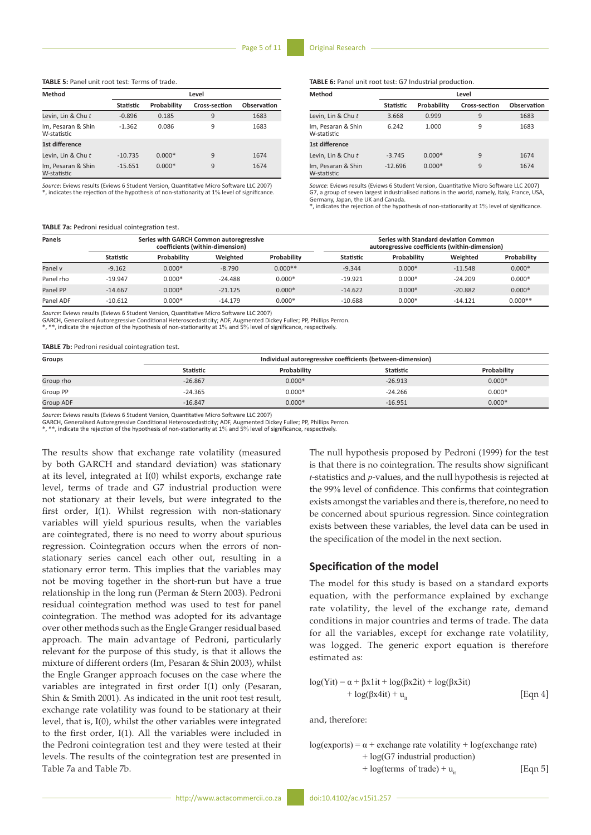#### **TABLE 5:** Panel unit root test: Terms of trade.

| Method                            |                  | Level       |               |             |  |  |  |
|-----------------------------------|------------------|-------------|---------------|-------------|--|--|--|
|                                   | <b>Statistic</b> | Probability | Cross-section | Observation |  |  |  |
| Levin, Lin & Chu t                | $-0.896$         | 0.185       | 9             | 1683        |  |  |  |
| Im, Pesaran & Shin<br>W-statistic | $-1.362$         | 0.086       | 9             | 1683        |  |  |  |
| 1st difference                    |                  |             |               |             |  |  |  |
| Levin, Lin & Chu t                | $-10.735$        | $0.000*$    | 9             | 1674        |  |  |  |
| Im, Pesaran & Shin<br>W-statistic | $-15.651$        | $0.000*$    | 9             | 1674        |  |  |  |

*Source*: Eviews results (Eviews 6 Student Version, Quantitative Micro Software LLC 2007) \*, indicates the rejection of the hypothesis of non-stationarity at 1% level of significance.

#### **TABLE 7a:** Pedroni residual cointegration test.

**TABLE 6:** Panel unit root test: G7 Industrial production.

| Method                            | Level            |             |                      |             |  |  |
|-----------------------------------|------------------|-------------|----------------------|-------------|--|--|
|                                   | <b>Statistic</b> | Probability | <b>Cross-section</b> | Observation |  |  |
| Levin, Lin & Chut                 | 3.668            | 0.999       | 9                    | 1683        |  |  |
| Im, Pesaran & Shin<br>W-statistic | 6.242            | 1.000       | 9                    | 1683        |  |  |
| 1st difference                    |                  |             |                      |             |  |  |
| Levin, Lin & Chu t                | $-3.745$         | $0.000*$    | 9                    | 1674        |  |  |
| Im, Pesaran & Shin<br>W-statistic | $-12.696$        | $0.000*$    | 9                    | 1674        |  |  |

*Source*: Eviews results (Eviews 6 Student Version, Quantitative Micro Software LLC 2007) G7, a group of seven largest industrialised nations in the world, namely, Italy, France, USA, Germany, Japan, the UK and Canada.

\*, indicates the rejection of the hypothesis of non-stationarity at 1% level of significance.

| Panels    | Series with GARCH Common autoregressive<br>coefficients (within-dimension) |             |           | Series with Standard deviation Common<br>autoregressive coefficients (within-dimension) |           |             |           |             |
|-----------|----------------------------------------------------------------------------|-------------|-----------|-----------------------------------------------------------------------------------------|-----------|-------------|-----------|-------------|
|           | Statistic                                                                  | Probability | Weighted  | Probability                                                                             | Statistic | Probability | Weighted  | Probability |
| Panel v   | $-9.162$                                                                   | $0.000*$    | $-8.790$  | $0.000**$                                                                               | $-9.344$  | $0.000*$    | $-11.548$ | $0.000*$    |
| Panel rho | $-19.947$                                                                  | $0.000*$    | $-24.488$ | $0.000*$                                                                                | $-19.921$ | $0.000*$    | $-24.209$ | $0.000*$    |
| Panel PP  | $-14.667$                                                                  | $0.000*$    | $-21.125$ | $0.000*$                                                                                | $-14.622$ | $0.000*$    | $-20.882$ | $0.000*$    |
| Panel ADF | $-10.612$                                                                  | $0.000*$    | $-14.179$ | $0.000*$                                                                                | $-10.688$ | $0.000*$    | $-14.121$ | $0.000**$   |

*Source*: Eviews results (Eviews 6 Student Version, Quantitative Micro Software LLC 2007)

GARCH, Generalised Autoregressive Conditional Heteroscedasticity; ADF, Augmented Dickey Fuller; PP, Phillips Perron.

\*, \*\*, indicate the rejection of the hypothesis of non-stationarity at 1% and 5% level of significance, respectively.

#### **TABLE 7b:** Pedroni residual cointegration test.

| <b>Groups</b>    | Individual autoregressive coefficients (between-dimension) |             |                  |             |  |  |
|------------------|------------------------------------------------------------|-------------|------------------|-------------|--|--|
|                  | Statistic                                                  | Probability | <b>Statistic</b> | Probability |  |  |
| Group rho        | $-26.867$                                                  | $0.000*$    | $-26.913$        | $0.000*$    |  |  |
| Group PP         | $-24.365$                                                  | $0.000*$    | $-24.266$        | $0.000*$    |  |  |
| <b>Group ADF</b> | $-16.847$                                                  | $0.000*$    | $-16.951$        | $0.000*$    |  |  |

*Source*: Eviews results (Eviews 6 Student Version, Quantitative Micro Software LLC 2007)

GARCH, Generalised Autoregressive Conditional Heteroscedasticity; ADF, Augmented Dickey Fuller; PP, Phillips Perron.<br>\*, \*\*, indicate the rejection of the hypothesis of non-stationarity at 1% and 5% level of significance, r

The results show that exchange rate volatility (measured by both GARCH and standard deviation) was stationary at its level, integrated at I(0) whilst exports, exchange rate level, terms of trade and G7 industrial production were not stationary at their levels, but were integrated to the first order, I(1). Whilst regression with non-stationary variables will yield spurious results, when the variables are cointegrated, there is no need to worry about spurious regression. Cointegration occurs when the errors of nonstationary series cancel each other out, resulting in a stationary error term. This implies that the variables may not be moving together in the short-run but have a true relationship in the long run (Perman & Stern 2003). Pedroni residual cointegration method was used to test for panel cointegration. The method was adopted for its advantage over other methods such as the Engle Granger residual based approach. The main advantage of Pedroni, particularly relevant for the purpose of this study, is that it allows the mixture of different orders (Im, Pesaran & Shin 2003), whilst the Engle Granger approach focuses on the case where the variables are integrated in first order I(1) only (Pesaran, Shin & Smith 2001). As indicated in the unit root test result, exchange rate volatility was found to be stationary at their level, that is, I(0), whilst the other variables were integrated to the first order, I(1). All the variables were included in the Pedroni cointegration test and they were tested at their levels. The results of the cointegration test are presented in Table 7a and Table 7b.

The null hypothesis proposed by Pedroni (1999) for the test is that there is no cointegration. The results show significant *t*-statistics and *p*-values, and the null hypothesis is rejected at the 99% level of confidence. This confirms that cointegration exists amongst the variables and there is, therefore, no need to be concerned about spurious regression. Since cointegration exists between these variables, the level data can be used in the specification of the model in the next section.

# **Specification of the model**

The model for this study is based on a standard exports equation, with the performance explained by exchange rate volatility, the level of the exchange rate, demand conditions in major countries and terms of trade. The data for all the variables, except for exchange rate volatility, was logged. The generic export equation is therefore estimated as:

$$
log(Yit) = \alpha + \beta x 1it + log(\beta x 2it) + log(\beta x 3it)
$$
  
+ log(\beta x 4it) + u<sub>it</sub> [Eqn 4]

and, therefore:

$$
log(exports) = \alpha + exchange rate volatility + log(exchange rate) + log(G7 industrial production) + log(terms of trade) + uit
$$
 [Eqn 5]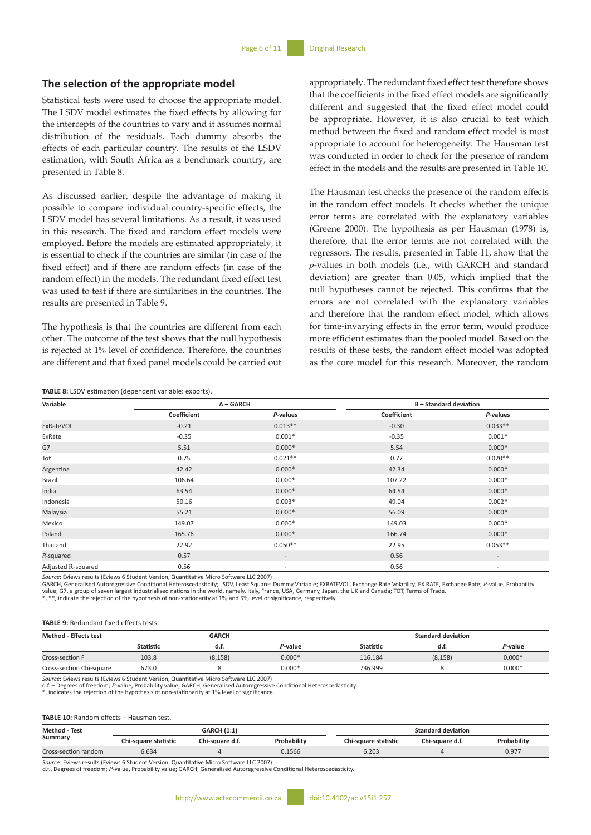# **The selection of the appropriate model**

Statistical tests were used to choose the appropriate model. The LSDV model estimates the fixed effects by allowing for the intercepts of the countries to vary and it assumes normal distribution of the residuals. Each dummy absorbs the effects of each particular country. The results of the LSDV estimation, with South Africa as a benchmark country, are presented in Table 8.

As discussed earlier, despite the advantage of making it possible to compare individual country-specific effects, the LSDV model has several limitations. As a result, it was used in this research. The fixed and random effect models were employed. Before the models are estimated appropriately, it is essential to check if the countries are similar (in case of the fixed effect) and if there are random effects (in case of the random effect) in the models. The redundant fixed effect test was used to test if there are similarities in the countries. The results are presented in Table 9.

The hypothesis is that the countries are different from each other. The outcome of the test shows that the null hypothesis is rejected at 1% level of confidence. Therefore, the countries are different and that fixed panel models could be carried out appropriately. The redundant fixed effect test therefore shows that the coefficients in the fixed effect models are significantly different and suggested that the fixed effect model could be appropriate. However, it is also crucial to test which method between the fixed and random effect model is most appropriate to account for heterogeneity. The Hausman test was conducted in order to check for the presence of random effect in the models and the results are presented in Table 10.

The Hausman test checks the presence of the random effects in the random effect models. It checks whether the unique error terms are correlated with the explanatory variables (Greene 2000). The hypothesis as per Hausman (1978) is, therefore, that the error terms are not correlated with the regressors. The results, presented in Table 11, show that the *p*-values in both models (i.e., with GARCH and standard deviation) are greater than 0.05, which implied that the null hypotheses cannot be rejected. This confirms that the errors are not correlated with the explanatory variables and therefore that the random effect model, which allows for time-invarying effects in the error term, would produce more efficient estimates than the pooled model. Based on the results of these tests, the random effect model was adopted as the core model for this research. Moreover, the random

#### **TABLE 8:** LSDV estimation (dependent variable: exports).

| Variable           | A-GARCH     |                          | <b>B-Standard deviation</b> |                          |
|--------------------|-------------|--------------------------|-----------------------------|--------------------------|
|                    | Coefficient | P-values                 | Coefficient                 | P-values                 |
| ExRateVOL          | $-0.21$     | $0.013**$                | $-0.30$                     | $0.033**$                |
| ExRate             | $-0.35$     | $0.001*$                 | $-0.35$                     | $0.001*$                 |
| G7                 | 5.51        | $0.000*$                 | 5.54                        | $0.000*$                 |
| Tot                | 0.75        | $0.021**$                | 0.77                        | $0.020**$                |
| Argentina          | 42.42       | $0.000*$                 | 42.34                       | $0.000*$                 |
| Brazil             | 106.64      | $0.000*$                 | 107.22                      | $0.000*$                 |
| India              | 63.54       | $0.000*$                 | 64.54                       | $0.000*$                 |
| Indonesia          | 50.16       | $0.003*$                 | 49.04                       | $0.002*$                 |
| Malaysia           | 55.21       | $0.000*$                 | 56.09                       | $0.000*$                 |
| Mexico             | 149.07      | $0.000*$                 | 149.03                      | $0.000*$                 |
| Poland             | 165.76      | $0.000*$                 | 166.74                      | $0.000*$                 |
| Thailand           | 22.92       | $0.050**$                | 22.95                       | $0.053**$                |
| R-squared          | 0.57        | $\overline{\phantom{a}}$ | 0.56                        | $\overline{\phantom{a}}$ |
| Adjusted R-squared | 0.56        | $\overline{\phantom{a}}$ | 0.56                        | $\overline{\phantom{a}}$ |

*Source*: Eviews results (Eviews 6 Student Version, Quantitative Micro Software LLC 2007)

GARCH, Generalised Autoregressive Conditional Heteroscedasticity; LSDV, Least Squares Dummy Variable; EXRATEVOL, Exchange Rate Volatility; EX RATE, Exchange Rate; *P*-value, Probability value; G7, a group of seven largest industrialised nations in the world, namely, Italy, France, USA, Germany, Japan, the UK and Canada; TOT, Terms of Trade.

\*, \*\*, indicate the rejection of the hypothesis of non-stationarity at 1% and 5% level of significance, respectively.

|  | <b>TABLE 9: Redundant fixed effects tests.</b> |  |  |  |
|--|------------------------------------------------|--|--|--|
|--|------------------------------------------------|--|--|--|

| <b>Method - Effects test</b> | <b>GARCH</b>     |          |          | <b>Standard deviation</b> |          |          |
|------------------------------|------------------|----------|----------|---------------------------|----------|----------|
|                              | <b>Statistic</b> | d.t.     | P-value  | Statistic                 | а.т.     | P-value  |
| Cross-section F              | 103.8            | (8, 158) | $0.000*$ | 116.184                   | (8, 158) | $0.000*$ |
| Cross-section Chi-square     | 673.0            |          | $0.000*$ | 736.999                   |          | $0.000*$ |

*Source*: Eviews results (Eviews 6 Student Version, Quantitative Micro Software LLC 2007)

d.f. – Degrees of freedom; *P*-value, Probability value; GARCH, Generalised Autoregressive Conditional Heteroscedasticity.

\*, indicates the rejection of the hypothesis of non-stationarity at 1% level of significance.

#### **TABLE 10:** Random effects – Hausman test.

| <b>Method - Test</b> | <b>GARCH (1:1)</b>   |                 |             | Standard deviation   |                 |             |
|----------------------|----------------------|-----------------|-------------|----------------------|-----------------|-------------|
| Summary              | Chi-square statistic | Chi-square d.f. | Probability | Chi-square statistic | Chi-square d.f. | Probability |
| Cross-section random | 5.634                |                 | 0.1566      | 6.203                |                 | 0.977       |

*Source*: Eviews results (Eviews 6 Student Version, Quantitative Micro Software LLC 2007)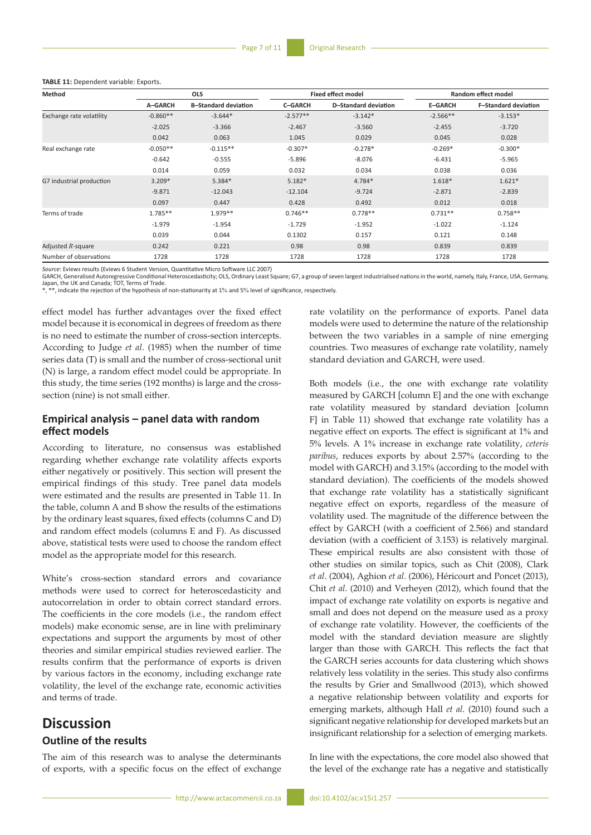|  | TABLE 11: Dependent variable: Exports. |  |  |
|--|----------------------------------------|--|--|
|--|----------------------------------------|--|--|

| Method                   | <b>OLS</b> |                             | <b>Fixed effect model</b> |                      | <b>Random effect model</b> |                             |
|--------------------------|------------|-----------------------------|---------------------------|----------------------|----------------------------|-----------------------------|
|                          | A-GARCH    | <b>B-Standard deviation</b> | <b>C-GARCH</b>            | D-Standard deviation | <b>E-GARCH</b>             | <b>F-Standard deviation</b> |
| Exchange rate volatility | $-0.860**$ | $-3.644*$                   | $-2.577**$                | $-3.142*$            | $-2.566**$                 | $-3.153*$                   |
|                          | $-2.025$   | $-3.366$                    | $-2.467$                  | $-3.560$             | $-2.455$                   | $-3.720$                    |
|                          | 0.042      | 0.063                       | 1.045                     | 0.029                | 0.045                      | 0.028                       |
| Real exchange rate       | $-0.050**$ | $-0.115**$                  | $-0.307*$                 | $-0.278*$            | $-0.269*$                  | $-0.300*$                   |
|                          | $-0.642$   | $-0.555$                    | $-5.896$                  | $-8.076$             | $-6.431$                   | $-5.965$                    |
|                          | 0.014      | 0.059                       | 0.032                     | 0.034                | 0.038                      | 0.036                       |
| G7 industrial production | $3.209*$   | $5.384*$                    | $5.182*$                  | 4.784*               | 1.618*                     | $1.621*$                    |
|                          | $-9.871$   | $-12.043$                   | $-12.104$                 | $-9.724$             | $-2.871$                   | $-2.839$                    |
|                          | 0.097      | 0.447                       | 0.428                     | 0.492                | 0.012                      | 0.018                       |
| Terms of trade           | $1.785**$  | 1.979 **                    | $0.746**$                 | $0.778**$            | $0.731**$                  | $0.758**$                   |
|                          | $-1.979$   | $-1.954$                    | $-1.729$                  | $-1.952$             | $-1.022$                   | $-1.124$                    |
|                          | 0.039      | 0.044                       | 0.1302                    | 0.157                | 0.121                      | 0.148                       |
| Adjusted $R$ -square     | 0.242      | 0.221                       | 0.98                      | 0.98                 | 0.839                      | 0.839                       |
| Number of observations   | 1728       | 1728                        | 1728                      | 1728                 | 1728                       | 1728                        |

*Source:* Eviews results (Eviews 6 Student Version, Quantitative Micro Software LLC 2007)<br>GARCH, Generalised Autoregressive Conditional Heteroscedasticity; OLS, Ordinary Least Square; G7, a group of seven largest industria Japan, the UK and Canada; TOT, Terms of Trade. \*, \*\*, indicate the rejection of the hypothesis of non-stationarity at 1% and 5% level of significance, respectively.

effect model has further advantages over the fixed effect model because it is economical in degrees of freedom as there is no need to estimate the number of cross-section intercepts. According to Judge *et al*. (1985) when the number of time series data (T) is small and the number of cross-sectional unit (N) is large, a random effect model could be appropriate. In this study, the time series (192 months) is large and the crosssection (nine) is not small either.

# **Empirical analysis – panel data with random effect models**

According to literature, no consensus was established regarding whether exchange rate volatility affects exports either negatively or positively. This section will present the empirical findings of this study. Tree panel data models were estimated and the results are presented in Table 11. In the table, column A and B show the results of the estimations by the ordinary least squares, fixed effects (columns C and D) and random effect models (columns E and F). As discussed above, statistical tests were used to choose the random effect model as the appropriate model for this research.

White's cross-section standard errors and covariance methods were used to correct for heteroscedasticity and autocorrelation in order to obtain correct standard errors. The coefficients in the core models (i.e., the random effect models) make economic sense, are in line with preliminary expectations and support the arguments by most of other theories and similar empirical studies reviewed earlier. The results confirm that the performance of exports is driven by various factors in the economy, including exchange rate volatility, the level of the exchange rate, economic activities and terms of trade.

# **Discussion**

# **Outline of the results**

The aim of this research was to analyse the determinants of exports, with a specific focus on the effect of exchange rate volatility on the performance of exports. Panel data models were used to determine the nature of the relationship between the two variables in a sample of nine emerging countries. Two measures of exchange rate volatility, namely standard deviation and GARCH, were used.

Both models (i.e., the one with exchange rate volatility measured by GARCH [column E] and the one with exchange rate volatility measured by standard deviation [column F] in Table 11) showed that exchange rate volatility has a negative effect on exports. The effect is significant at 1% and 5% levels. A 1% increase in exchange rate volatility, *ceteris paribus*, reduces exports by about 2.57% (according to the model with GARCH) and 3.15% (according to the model with standard deviation). The coefficients of the models showed that exchange rate volatility has a statistically significant negative effect on exports, regardless of the measure of volatility used. The magnitude of the difference between the effect by GARCH (with a coefficient of 2.566) and standard deviation (with a coefficient of 3.153) is relatively marginal. These empirical results are also consistent with those of other studies on similar topics, such as Chit (2008), Clark *et al*. (2004), Aghion *et al*. (2006), Héricourt and Poncet (2013), Chit *et al*. (2010) and Verheyen (2012), which found that the impact of exchange rate volatility on exports is negative and small and does not depend on the measure used as a proxy of exchange rate volatility. However, the coefficients of the model with the standard deviation measure are slightly larger than those with GARCH. This reflects the fact that the GARCH series accounts for data clustering which shows relatively less volatility in the series. This study also confirms the results by Grier and Smallwood (2013), which showed a negative relationship between volatility and exports for emerging markets, although Hall *et al*. (2010) found such a significant negative relationship for developed markets but an insignificant relationship for a selection of emerging markets.

In line with the expectations, the core model also showed that the level of the exchange rate has a negative and statistically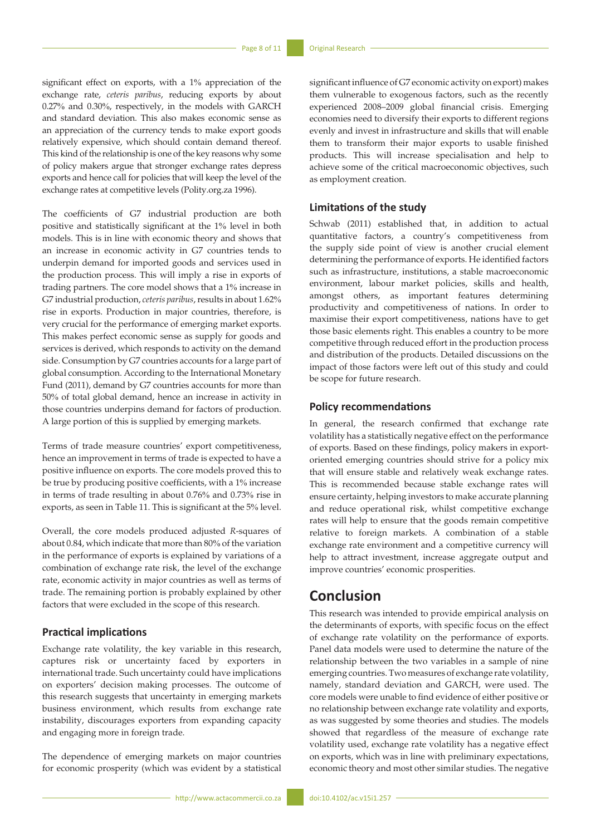significant effect on exports, with a 1% appreciation of the exchange rate, *ceteris paribus*, reducing exports by about 0.27% and 0.30%, respectively, in the models with GARCH and standard deviation. This also makes economic sense as an appreciation of the currency tends to make export goods relatively expensive, which should contain demand thereof. This kind of the relationship is one of the key reasons why some of policy makers argue that stronger exchange rates depress exports and hence call for policies that will keep the level of the exchange rates at competitive levels (Polity.org.za 1996).

The coefficients of G7 industrial production are both positive and statistically significant at the 1% level in both models. This is in line with economic theory and shows that an increase in economic activity in G7 countries tends to underpin demand for imported goods and services used in the production process. This will imply a rise in exports of trading partners. The core model shows that a 1% increase in G7 industrial production, *ceteris paribus*, results in about 1.62% rise in exports. Production in major countries, therefore, is very crucial for the performance of emerging market exports. This makes perfect economic sense as supply for goods and services is derived, which responds to activity on the demand side. Consumption by G7 countries accounts for a large part of global consumption. According to the International Monetary Fund (2011), demand by G7 countries accounts for more than 50% of total global demand, hence an increase in activity in those countries underpins demand for factors of production. A large portion of this is supplied by emerging markets.

Terms of trade measure countries' export competitiveness, hence an improvement in terms of trade is expected to have a positive influence on exports. The core models proved this to be true by producing positive coefficients, with a 1% increase in terms of trade resulting in about 0.76% and 0.73% rise in exports, as seen in Table 11. This is significant at the 5% level.

Overall, the core models produced adjusted *R*-squares of about 0.84, which indicate that more than 80% of the variation in the performance of exports is explained by variations of a combination of exchange rate risk, the level of the exchange rate, economic activity in major countries as well as terms of trade. The remaining portion is probably explained by other factors that were excluded in the scope of this research.

# **Practical implications**

Exchange rate volatility, the key variable in this research, captures risk or uncertainty faced by exporters in international trade. Such uncertainty could have implications on exporters' decision making processes. The outcome of this research suggests that uncertainty in emerging markets business environment, which results from exchange rate instability, discourages exporters from expanding capacity and engaging more in foreign trade.

The dependence of emerging markets on major countries for economic prosperity (which was evident by a statistical

significant influence of G7 economic activity on export) makes them vulnerable to exogenous factors, such as the recently experienced 2008–2009 global financial crisis. Emerging economies need to diversify their exports to different regions evenly and invest in infrastructure and skills that will enable them to transform their major exports to usable finished products. This will increase specialisation and help to achieve some of the critical macroeconomic objectives, such as employment creation.

# **Limitations of the study**

Schwab (2011) established that, in addition to actual quantitative factors, a country's competitiveness from the supply side point of view is another crucial element determining the performance of exports. He identified factors such as infrastructure, institutions, a stable macroeconomic environment, labour market policies, skills and health, amongst others, as important features determining productivity and competitiveness of nations. In order to maximise their export competitiveness, nations have to get those basic elements right. This enables a country to be more competitive through reduced effort in the production process and distribution of the products. Detailed discussions on the impact of those factors were left out of this study and could be scope for future research.

# **Policy recommendations**

In general, the research confirmed that exchange rate volatility has a statistically negative effect on the performance of exports. Based on these findings, policy makers in exportoriented emerging countries should strive for a policy mix that will ensure stable and relatively weak exchange rates. This is recommended because stable exchange rates will ensure certainty, helping investors to make accurate planning and reduce operational risk, whilst competitive exchange rates will help to ensure that the goods remain competitive relative to foreign markets. A combination of a stable exchange rate environment and a competitive currency will help to attract investment, increase aggregate output and improve countries' economic prosperities.

# **Conclusion**

This research was intended to provide empirical analysis on the determinants of exports, with specific focus on the effect of exchange rate volatility on the performance of exports. Panel data models were used to determine the nature of the relationship between the two variables in a sample of nine emerging countries. Two measures of exchange rate volatility, namely, standard deviation and GARCH, were used. The core models were unable to find evidence of either positive or no relationship between exchange rate volatility and exports, as was suggested by some theories and studies. The models showed that regardless of the measure of exchange rate volatility used, exchange rate volatility has a negative effect on exports, which was in line with preliminary expectations, economic theory and most other similar studies. The negative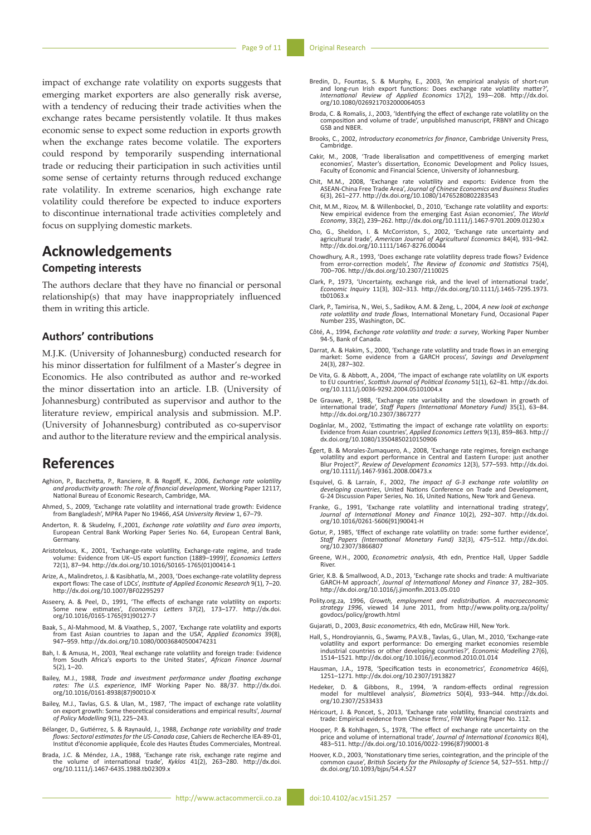impact of exchange rate volatility on exports suggests that emerging market exporters are also generally risk averse, with a tendency of reducing their trade activities when the exchange rates became persistently volatile. It thus makes economic sense to expect some reduction in exports growth when the exchange rates become volatile. The exporters could respond by temporarily suspending international trade or reducing their participation in such activities until some sense of certainty returns through reduced exchange rate volatility. In extreme scenarios, high exchange rate volatility could therefore be expected to induce exporters to discontinue international trade activities completely and focus on supplying domestic markets.

# **Acknowledgements**

# **Competing interests**

The authors declare that they have no financial or personal relationship(s) that may have inappropriately influenced them in writing this article.

# **Authors' contributions**

M.J.K. (University of Johannesburg) conducted research for his minor dissertation for fulfilment of a Master's degree in Economics. He also contributed as author and re-worked the minor dissertation into an article. I.B. (University of Johannesburg) contributed as supervisor and author to the literature review, empirical analysis and submission. M.P. (University of Johannesburg) contributed as co-supervisor and author to the literature review and the empirical analysis.

# **References**

- Aghion, P., Bacchetta, P., Ranciere, R. & Rogoff, K., 2006, *Exchange rate volatility and productivity growth: The role of financial development*, Working Paper 12117, National Bureau of Economic Research, Cambridge, MA.
- Ahmed, S., 2009, 'Exchange rate volatility and international trade growth: Evidence from Bangladesh', MPRA Paper No 19466, *ASA University Review* 1, 67–79.
- Anderton, R. & Skudelny, F.,2001, *Exchange rate volatility and Euro area imports*, European Central Bank Working Paper Series No. 64, European Central Bank, Germany.
- Aristotelous, K., 2001, 'Exchange-rate volatility, Exchange-rate regime, and trade volume: Evidence from UK–US export function (1889–1999)', *Economics Letters* 72(1), 87–94. [http://dx.doi.org/10.1016/S0165-1765\(01\)00414-1](http://dx.doi.org/10.1016/S0165-1765(01)00414-1)
- Arize, A., Malindretos, J. & Kasibhatla, M., 2003, 'Does exchange-rate volatility depress export flows: The case of LDCs', *Institute of Applied Economic Research* 9(1), 7–20. <http://dx.doi.org/10.1007/BF02295297>
- Asseery, A. & Peel, D., 1991, 'The effects of exchange rate volatility on exports: Some new estimates', *Economics Letters* 37(2), 173–177. [http://dx.doi.](http://dx.doi.org/10.1016/0165-1765(91)90127-7) [org/10.1016/0165-1765\(91\)90127-7](http://dx.doi.org/10.1016/0165-1765(91)90127-7)
- Baak, S., Al-Mahmood, M. & Vixathep, S., 2007, 'Exchange rate volatility and exports from East Asian countries to Japan and the USA', *Applied Economics* 39(8), 947–959. <http://dx.doi.org/10.1080/00036840500474231>
- Bah, I. & Amusa, H., 2003, 'Real exchange rate volatility and foreign trade: Evidence from South Africa's exports to the United States', *African Finance Journal*  $5(2)$ ,  $1-20$ .
- Bailey, M.J., 1988, *Trade and investment performance under floating exchange rates: The U.S. experience*, IMF Working Paper No. 88/37. [http://dx.doi.](http://dx.doi.org/10.1016/0161-8938(87)90010-X) [org/10.1016/0161-8938\(87\)90010-X](http://dx.doi.org/10.1016/0161-8938(87)90010-X)
- Bailey, M.J., Tavlas, G.S. & Ulan, M., 1987, 'The impact of exchange rate volatility on export growth: Some theoretical considerations and empirical results', *Journal of Policy Modelling* 9(1), 225–243.
- Bélanger, D., Gutiérrez, S. & Raynauld, J., 1988, *Exchange rate variability and trade flows: Sectoral estimates for the US-Canada case*, Cahiers de Recherche IEA-89-01, Institut d'économie appliquée, École des Hautes Études Commerciales, Montreal.
- Brada, J.C. & Méndez, J.A., 1988, 'Exchange rate risk, exchange rate regime and the volume of international trade', *Kyklos* 41(2), 263–280. [http://dx.doi.](http://dx.doi.org/10.1111/j.1467-6435.1988.tb02309.x) [org/10.1111/j.1467-6435.1988.tb02309.x](http://dx.doi.org/10.1111/j.1467-6435.1988.tb02309.x)
- Bredin, D., Fountas, S. & Murphy, E., 2003, 'An empirical analysis of short-run<br>and long-run Irish export functions: Does exchange rate volatility matter?',<br>International Review of Applied Economics 17(2), 193--208. http:/ [org/10.1080/0269217032000064053](http://dx.doi.org/10.1080/0269217032000064053)
- Broda, C. & Romalis, J., 2003, 'Identifying the effect of exchange rate volatility on the composition and volume of trade', unpublished manuscript, FRBNY and Chicago GSB and NBER.
- Brooks, C., 2002, *Introductory econometrics for finance*, Cambridge University Press, Cambridge.
- Cakir, M., 2008, 'Trade liberalisation and competitiveness of emerging market economies', Master's dissertation, Economic Development and Policy Issues, Faculty of Economic and Financial Science, University of Johannesburg.
- Chit, M.M., 2008, 'Exchange rate volatility and exports: Evidence from the ASEAN-China Free Trade Area', *Journal of Chinese Economics and Business Studies* 6(3), 261–277. <http://dx.doi.org/10.1080/14765280802283543>
- Chit, M.M., Rizov, M. & Willenbockel, D., 2010, 'Exchange rate volatility and exports: New empirical evidence from the emerging East Asian economies', *The World Economy*, 33(2), 239–262. <http://dx.doi.org/10.1111/j.1467-9701.2009.01230.x>
- Cho, G., Sheldon, I. & McCorriston, S., 2002, 'Exchange rate uncertainty and agricultural trade', *American Journal of Agricultural Economics* 84(4), 931–942.<br><http://dx.doi.org/10.1111/1467-8276.00044><br>http://dx.doi.org/10.
- Chowdhury, A.R., 1993, 'Does exchange rate volatility depress trade flows? Evidence from error-correction models', *The Review of Economic and Statistics* 75(4), 700–706. <http://dx.doi.org/10.2307/2110025>
- Clark, P., 1973, 'Uncertainty, exchange risk, and the level of international trade', *Economic Inquiry* 11(3), 302–313. [http://dx.doi.org/10.1111/j.1465-7295.1973.](http://dx.doi.org/10.1111/j.1465-7295.1973.tb01063.x) [tb01063.x](http://dx.doi.org/10.1111/j.1465-7295.1973.tb01063.x)
- Clark, P., Tamirisa, N., Wei, S., Sadikov, A.M. & Zeng, L., 2004, *A new look at exchange rate volatility and trade flows*, International Monetary Fund, Occasional Paper Number 235, Washington, DC.
- Côté, A., 1994, *Exchange rate volatility and trade: a survey*, Working Paper Number 94-5, Bank of Canada.
- Darrat, A. & Hakim, S., 2000, 'Exchange rate volatility and trade flows in an emerging market: Some evidence from a GARCH process', *Savings and Development* 24(3), 287–302.
- De Vita, G. & Abbott, A., 2004, 'The impact of exchange rate volatility on UK exports to EU countries', *Scottish Journal of Political Economy* 51(1), 62–81. [http://dx.doi.](http://dx.doi.org/10.1111/j.0036-9292.2004.05101004.x) [org/10.1111/j.0036-9292.2004.05101004.x](http://dx.doi.org/10.1111/j.0036-9292.2004.05101004.x)
- De Grauwe, P., 1988, 'Exchange rate variability and the slowdown in growth of international trade', *Staff Papers (International Monetary Fund)* 35(1), 63–84. <http://dx.doi.org/10.2307/3867277>
- Dogănlar, M., 2002, 'Estimating the impact of exchange rate volatility on exports: Evidence from Asian countries', *Applied Economics Letters* 9(13), 859–863. [http://](http://dx.doi.org/10.1080/13504850210150906) [dx.doi.org/10.1080/13504850210150906](http://dx.doi.org/10.1080/13504850210150906)
- Égert, B. & Morales-Zumaquero, A., 2008, 'Exchange rate regimes, foreign exchange<br>volatility and export performance in Central and Eastern Europe: just another<br>Blur Project?', Review of Development Economics 12(3), 577–593 [org/10.1111/j.1467-9361.2008.00473.x](http://dx.doi.org/10.1111/j.1467-9361.2008.00473.x)
- Esquivel, G. & Larraín, F., 2002, The impact of G-3 exchange rate volatility on developing countries, United Nations Conference on Trade and Development, G-24 Discussion Paper Series, No. 16, United Nations, New York and G
- Franke, G., 1991, 'Exchange rate volatility and international trading strategy', *Journal of International Money and Finance* 10(2), 292–307. [http://dx.doi.](http://dx.doi.org/10.1016/0261-5606(91)90041-H) [org/10.1016/0261-5606\(91\)90041-H](http://dx.doi.org/10.1016/0261-5606(91)90041-H)
- Gotur, P., 1985, 'Effect of exchange rate volatility on trade: some further evidence', *Staff Papers (International Monetary Fund)* 32(3), 475–512. [http://dx.doi.](http://dx.doi.org/10.2307/3866807) [org/10.2307/3866807](http://dx.doi.org/10.2307/3866807)<br>Staff Papers (Interna
- Greene, W.H., 2000, *Econometric analysis*, 4th edn, Prentice Hall, Upper Saddle River.
- Grier, K.B. & Smallwood, A.D., 2013, 'Exchange rate shocks and trade: A multivariate GARCH-M approach', *Journal of International Money and Finance* 37, 282–305. <http://dx.doi.org/10.1016/j.jimonfin.2013.05.010>
- Polity.org.za, 1996, *Growth, employment and redistribution. A macroeconomic strategy 1996*, viewed 14 June 2011, from http://www.polity.org.za/polity/ govdocs/policy/growth.html
- Gujarati, D., 2003, *Basic econometrics*, 4th edn, McGraw Hill, New York.
- Hall, S., Hondroyiannis, G., Swamy, P.A.V.B., Tavlas, G., Ulan, M., 2010, 'Exchange-rate volatility and export performance: Do emerging market economies resemble<br>industrial countries or other developing countries?', *Economic Modelling* 27(6),<br>1514–1521.<http://dx.doi.org/10.1016/j.econmod.2010.01.014>
- Hausman, J.A., 1978, 'Specification tests in econometrics', *Econometrica* 46(6), 1251–1271.<http://dx.doi.org/10.2307/1913827>
- Hedeker, D. & Gibbons, R., 1994, 'A random-effects ordinal regression model for multilevel analysis', *Biometrics* 50(4), 933–944. [http://dx.doi.](http://dx.doi.org/10.2307/2533433) [org/10.2307/2533433](http://dx.doi.org/10.2307/2533433)
- Héricourt, J. & Poncet, S., 2013, 'Exchange rate volatility, financial constraints and trade: Empirical evidence from Chinese firms', FIW Working Paper No. 112.
- Hooper, P. & Kohlhagen, S., 1978, 'The effect of exchange rate uncertainty on the price and volume of international trade', *Journal of International Economics* 8(4), 483–511. [http://dx.doi.org/10.1016/0022-1996\(87\)90001-8](http://dx.doi.org/10.1016/0022-1996(87)90001-8)
- Hoover, K.D., 2003, 'Nonstationary time series, cointegration, and the principle of the common cause', *British Society for the Philosophy of Science* 54, 527–551. [http://](http://dx.doi.org/10.1093/bjps/54.4.527) [dx.doi.org/10.1093/bjps/54.4.527](http://dx.doi.org/10.1093/bjps/54.4.527)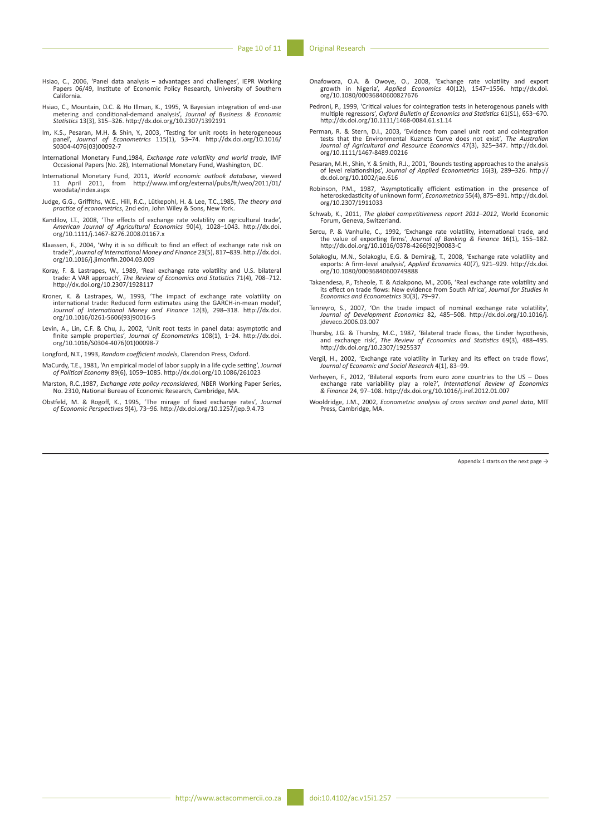- Hsiao, C., 2006, 'Panel data analysis advantages and challenges', IEPR Working Papers 06/49, Institute of Economic Policy Research, University of Southern California.
- Hsiao, C., Mountain, D.C. & Ho Illman, K., 1995, 'A Bayesian integration of end-use metering and conditional-demand analysis', *Journal of Business & Economic Statistics* 13(3), 315–326. <http://dx.doi.org/10.2307/1392191>
- Im, K.S., Pesaran, M.H. & Shin, Y., 2003, 'Testing for unit roots in heterogeneous panel', *Journal of Econometrics* 115(1), 53–74. [http://dx.doi.org/10.1016/](http://dx.doi.org/10.1016/S0304-4076(03)00092-7) [S0304-4076\(03\)00092-7](http://dx.doi.org/10.1016/S0304-4076(03)00092-7)
- International Monetary Fund,1984, *Exchange rate volatility and world trade*, IMF Occasional Papers (No. 28), International Monetary Fund, Washington, DC.
- International Monetary Fund, 2011, *World economic outlook database*, viewed 11 April 2011, from [http://www.imf.org/external/pubs/ft/weo/2011/01/](http://www.imf.org/external/pubs/ft/weo/2011/01/weodata/index.aspx) 11 April 2011,<br>[weodata/index.aspx](http://www.imf.org/external/pubs/ft/weo/2011/01/weodata/index.aspx)
- Judge, G.G., Griffiths, W.E., Hill, R.C., Lütkepohl, H. & Lee, T.C.,1985, *The theory and practice of econometrics*, 2nd edn, John Wiley & Sons, New York.
- Kandilov, I.T., 2008, 'The effects of exchange rate volatility on agricultural trade',<br>*American Journal of Agricultural Economics* 90(4), 1028–1043. [http://dx.doi.](http://dx.doi.org/10.1111/j.1467-8276.2008.01167.x)<br>[org/10.1111/j.1467-8276.2008.01167.x](http://dx.doi.org/10.1111/j.1467-8276.2008.01167.x)
- Klaassen, F., 2004, 'Why it is so difficult to find an effect of exchange rate risk on trade?', *Journal of International Money and Finance* 23(5), 817–839. [http://dx.doi.](http://dx.doi.org/10.1016/j.jimonfin.2004.03.009) [org/10.1016/j.jimonfin.2004.03.009](http://dx.doi.org/10.1016/j.jimonfin.2004.03.009)
- Koray, F. & Lastrapes, W., 1989, 'Real exchange rate volatility and U.S. bilateral trade: A VAR approach', *The Review of Economics and Statistics* 71(4), 708–712. <http://dx.doi.org/10.2307/1928117>
- Kroner, K. & Lastrapes, W., 1993, 'The impact of exchange rate volatility on international trade: Reduced form estimates using the GARCH-in-mean model', *Journal of International Money and Finance* 12(3), 298–318. [http://dx.doi.](http://dx.doi.org/10.1016/0261-5606(93)90016-5) [org/10.1016/0261-5606\(93\)90016-5](http://dx.doi.org/10.1016/0261-5606(93)90016-5)
- Levin, A., Lin, C.F. & Chu, J., 2002, 'Unit root tests in panel data: asymptotic and finite sample properties', *Journal of Econometrics* 108(1), 1–24. [http://dx.doi.](http://dx.doi.org/10.1016/S0304-4076(01)00098-7) [org/10.1016/S0304-4076\(01\)00098-7](http://dx.doi.org/10.1016/S0304-4076(01)00098-7)
- Longford, N.T., 1993, *Random coefficient models*, Clarendon Press, Oxford.
- MaCurdy, T.E., 1981, 'An empirical model of labor supply in a life cycle setting', *Journal of Political Economy* 89(6), 1059–1085.<http://dx.doi.org/10.1086/261023>
- Marston, R.C.,1987, *Exchange rate policy reconsidered*, NBER Working Paper Series, No. 2310, National Bureau of Economic Research, Cambridge, MA.
- Obstfeld, M. & Rogoff, K., 1995, 'The mirage of fixed exchange rates', *Journal of Economic Perspectives* 9(4), 73–96. <http://dx.doi.org/10.1257/jep.9.4.73>
- Onafowora, O.A. & Owoye, O., 2008, 'Exchange rate volatility and export growth in Nigeria', *Applied Economics* 40(12), 1547–1556. [http://dx.doi.](http://dx.doi.org/10.1080/00036840600827676) [org/10.1080/00036840600827676](http://dx.doi.org/10.1080/00036840600827676)
- Pedroni, P., 1999, 'Critical values for cointegration tests in heterogenous panels with multiple regressors', *Oxford Bulletin of Economics and Statistics* 61(S1), 653–670.<br><http://dx.doi.org/10.1111/1468-0084.61.s1.14>
- Perman, R. & Stern, D.I., 2003, 'Evidence from panel unit root and cointegration tests that the Environmental Kuznets Curve does not exist', *The Australian Journal of Agricultural and Resource Economics* 47(3), 325–347. [http://dx.doi.](http://dx.doi.org/10.1111/1467-8489.00216) [org/10.1111/1467-8489.00216](http://dx.doi.org/10.1111/1467-8489.00216)
- Pesaran, M.H., Shin, Y. & Smith, R.J., 2001, 'Bounds testing approaches to the analysis of level relationships', *Journal of Applied Econometrics* 16(3), 289–326. [http://](http://dx.doi.org/10.1002/jae.616) [dx.doi.org/10.1002/jae.616](http://dx.doi.org/10.1002/jae.616)
- Robinson, P.M., 1987, 'Asymptotically efficient estimation in the presence of heteroskedasticity of unknown form', *Econometrica* 55(4), 875–891. [http://dx.doi.](http://dx.doi.org/10.2307/1911033) [org/10.2307/1911033](http://dx.doi.org/10.2307/1911033)
- Schwab, K., 2011, *The global competitiveness report 2011–2012*, World Economic Forum, Geneva, Switzerland.
- Sercu, P. & Vanhulle, C., 1992, 'Exchange rate volatility, international trade, and the value of exporting firms', *Journal of Banking & Finance* 16(1), 155–182. [http://dx.doi.org/10.1016/0378-4266\(92\)90083-C](http://dx.doi.org/10.1016/0378-4266(92)90083-C)
- Solakoglu, M.N., Solakoglu, E.G. & Demirağ, T., 2008, 'Exchange rate volatility and exports: A firm-level analysis', *Applied Economics* 40(7), 921–929. [http://dx.doi.](http://dx.doi.org/10.1080/00036840600749888) [org/10.1080/00036840600749888](http://dx.doi.org/10.1080/00036840600749888)
- Takaendesa, P., Tsheole, T. & Aziakpono, M., 2006, 'Real exchange rate volatility and its effect on trade flows: New evidence from South Africa', *Journal for Studies in Economics and Econometrics* 30(3), 79–97.
- Tenreyro, S., 2007, 'On the trade impact of nominal exchange rate volatility', *Journal of Development Economics* 82, 485–508. [http://dx.doi.org/10.1016/j.](http://dx.doi.org/10.1016/j.jdeveco.2006.03.007) [jdeveco.2006.03.007](http://dx.doi.org/10.1016/j.jdeveco.2006.03.007)
- Thursby, J.G. & Thursby, M.C., 1987, 'Bilateral trade flows, the Linder hypothesis, and exchange risk', *The Review of Economics and Statistics* 69(3), 488–495. <http://dx.doi.org/10.2307/1925537>
- Vergil, H., 2002, 'Exchange rate volatility in Turkey and its effect on trade flows', *Journal of Economic and Social Research* 4(1), 83–99.
- Verheyen, F., 2012, 'Bilateral exports from euro zone countries to the US Does<br>exchange rate variability play a role?', *International Review of Economics*<br>& Finance 24, 97-108.http://dx.doi.org/10.1016/j.iref.2012.01.00
- Wooldridge, J.M., 2002, *Econometric analysis of cross section and panel data*, MIT Press, Cambridge, MA.

Appendix 1 starts on the next page  $\rightarrow$